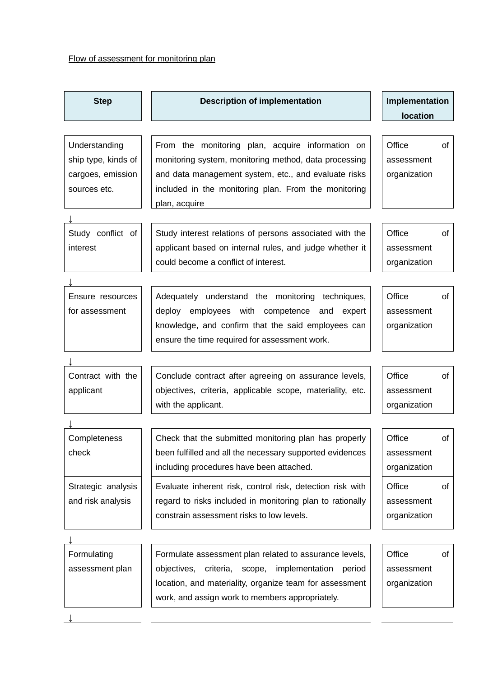## Flow of assessment for monitoring plan

| <b>Step</b>                                                               | <b>Description of implementation</b>                                                                                                                                                                                                       | Implementation<br>location           |    |
|---------------------------------------------------------------------------|--------------------------------------------------------------------------------------------------------------------------------------------------------------------------------------------------------------------------------------------|--------------------------------------|----|
| Understanding<br>ship type, kinds of<br>cargoes, emission<br>sources etc. | From the monitoring plan, acquire information on<br>monitoring system, monitoring method, data processing<br>and data management system, etc., and evaluate risks<br>included in the monitoring plan. From the monitoring<br>plan, acquire | Office<br>assessment<br>organization | of |
| Study conflict of<br>interest                                             | Study interest relations of persons associated with the<br>applicant based on internal rules, and judge whether it<br>could become a conflict of interest.                                                                                 | Office<br>assessment<br>organization | of |
| Ensure resources<br>for assessment                                        | Adequately understand the monitoring techniques,<br>deploy employees with competence and expert<br>knowledge, and confirm that the said employees can<br>ensure the time required for assessment work.                                     | Office<br>assessment<br>organization | of |
| Contract with the<br>applicant                                            | Conclude contract after agreeing on assurance levels,<br>objectives, criteria, applicable scope, materiality, etc.<br>with the applicant.                                                                                                  | Office<br>assessment<br>organization | of |
| Completeness<br>check                                                     | Check that the submitted monitoring plan has properly<br>been fulfilled and all the necessary supported evidences<br>including procedures have been attached.                                                                              | Office<br>assessment<br>organization | of |
| Strategic analysis<br>and risk analysis                                   | Evaluate inherent risk, control risk, detection risk with<br>regard to risks included in monitoring plan to rationally<br>constrain assessment risks to low levels.                                                                        | Office<br>assessment<br>organization | of |
| Formulating<br>assessment plan                                            | Formulate assessment plan related to assurance levels,<br>criteria, scope, implementation period<br>objectives,<br>location, and materiality, organize team for assessment<br>work, and assign work to members appropriately.              | Office<br>assessment<br>organization | of |

↓

 $\overline{\phantom{0}}$  $\overline{\phantom{a}}$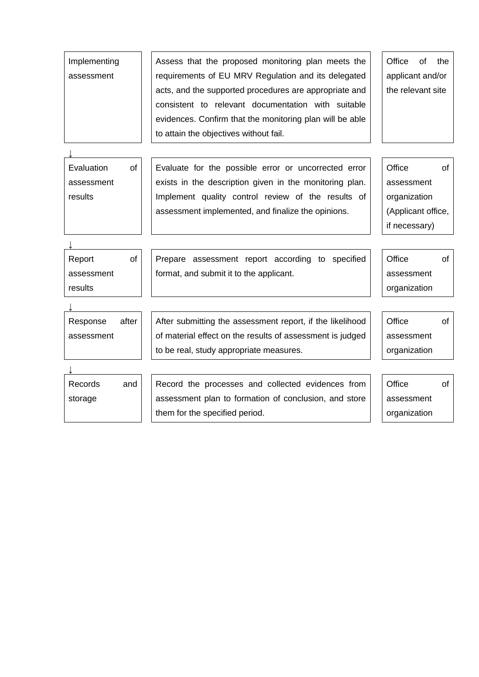| assessment                                       | requirements of EU MRV Regulation and its delegated<br>acts, and the supported procedures are appropriate and<br>consistent to relevant documentation with suitable<br>evidences. Confirm that the monitoring plan will be able<br>to attain the objectives without fail. | applicant and/or<br>the relevant site                                       |    |
|--------------------------------------------------|---------------------------------------------------------------------------------------------------------------------------------------------------------------------------------------------------------------------------------------------------------------------------|-----------------------------------------------------------------------------|----|
| Evaluation<br><b>of</b><br>assessment<br>results | Evaluate for the possible error or uncorrected error<br>exists in the description given in the monitoring plan.<br>Implement quality control review of the results of<br>assessment implemented, and finalize the opinions.                                               | Office<br>assessment<br>organization<br>(Applicant office,<br>if necessary) | of |
| <b>of</b><br>Report<br>assessment<br>results     | Prepare assessment report according to specified<br>format, and submit it to the applicant.                                                                                                                                                                               | Office<br>assessment<br>organization                                        | of |
| after<br>Response<br>assessment                  | After submitting the assessment report, if the likelihood<br>of material effect on the results of assessment is judged<br>to be real, study appropriate measures.                                                                                                         | Office<br>assessment<br>organization                                        | of |
| Records<br>and<br>storage                        | Record the processes and collected evidences from<br>assessment plan to formation of conclusion, and store<br>them for the specified period.                                                                                                                              | Office<br>assessment<br>organization                                        | of |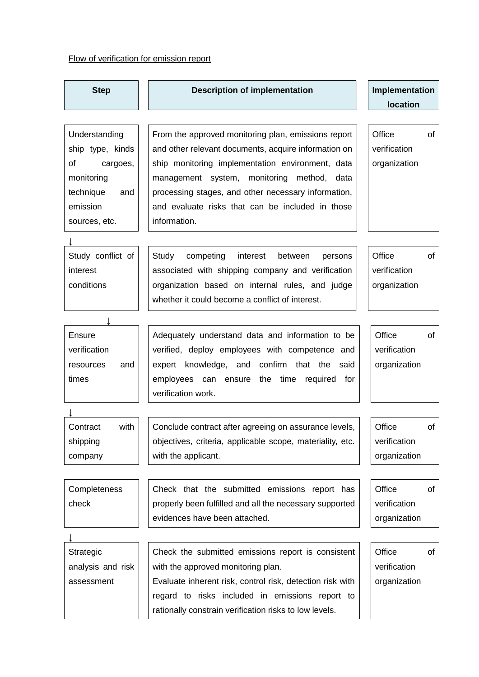## Flow of verification for emission report

| <b>Step</b>       | <b>Description of implementation</b>                      | Implementation  |  |
|-------------------|-----------------------------------------------------------|-----------------|--|
|                   |                                                           | <b>location</b> |  |
|                   |                                                           |                 |  |
| Understanding     | From the approved monitoring plan, emissions report       | Office<br>οf    |  |
| ship type, kinds  | and other relevant documents, acquire information on      | verification    |  |
| of<br>cargoes,    | ship monitoring implementation environment, data          | organization    |  |
| monitoring        | management system, monitoring method, data                |                 |  |
| technique<br>and  | processing stages, and other necessary information,       |                 |  |
| emission          | and evaluate risks that can be included in those          |                 |  |
| sources, etc.     | information.                                              |                 |  |
|                   |                                                           |                 |  |
| Study conflict of | Study<br>competing<br>interest<br>between<br>persons      | Office<br>of    |  |
| interest          | associated with shipping company and verification         | verification    |  |
| conditions        | organization based on internal rules, and judge           | organization    |  |
|                   | whether it could become a conflict of interest.           |                 |  |
|                   |                                                           |                 |  |
|                   |                                                           |                 |  |
| Ensure            | Adequately understand data and information to be          | Office<br>of    |  |
| verification      | verified, deploy employees with competence and            | verification    |  |
| resources<br>and  | expert knowledge, and confirm that<br>the<br>said         | organization    |  |
| times             | employees can ensure the time<br>for<br>required          |                 |  |
|                   | verification work.                                        |                 |  |
|                   |                                                           |                 |  |
| Contract<br>with  | Conclude contract after agreeing on assurance levels,     | Office<br>of    |  |
| shipping          | objectives, criteria, applicable scope, materiality, etc. | verification    |  |
| company           | with the applicant.                                       | organization    |  |
|                   |                                                           |                 |  |
| Completeness      | Check that the submitted emissions report has             | Office<br>of    |  |
| check             | properly been fulfilled and all the necessary supported   | verification    |  |
|                   | evidences have been attached.                             | organization    |  |
|                   |                                                           |                 |  |
| Strategic         | Check the submitted emissions report is consistent        | Office<br>of    |  |
| analysis and risk | with the approved monitoring plan.                        | verification    |  |
| assessment        | Evaluate inherent risk, control risk, detection risk with | organization    |  |
|                   | regard to risks included in emissions report to           |                 |  |
|                   | rationally constrain verification risks to low levels.    |                 |  |
|                   |                                                           |                 |  |